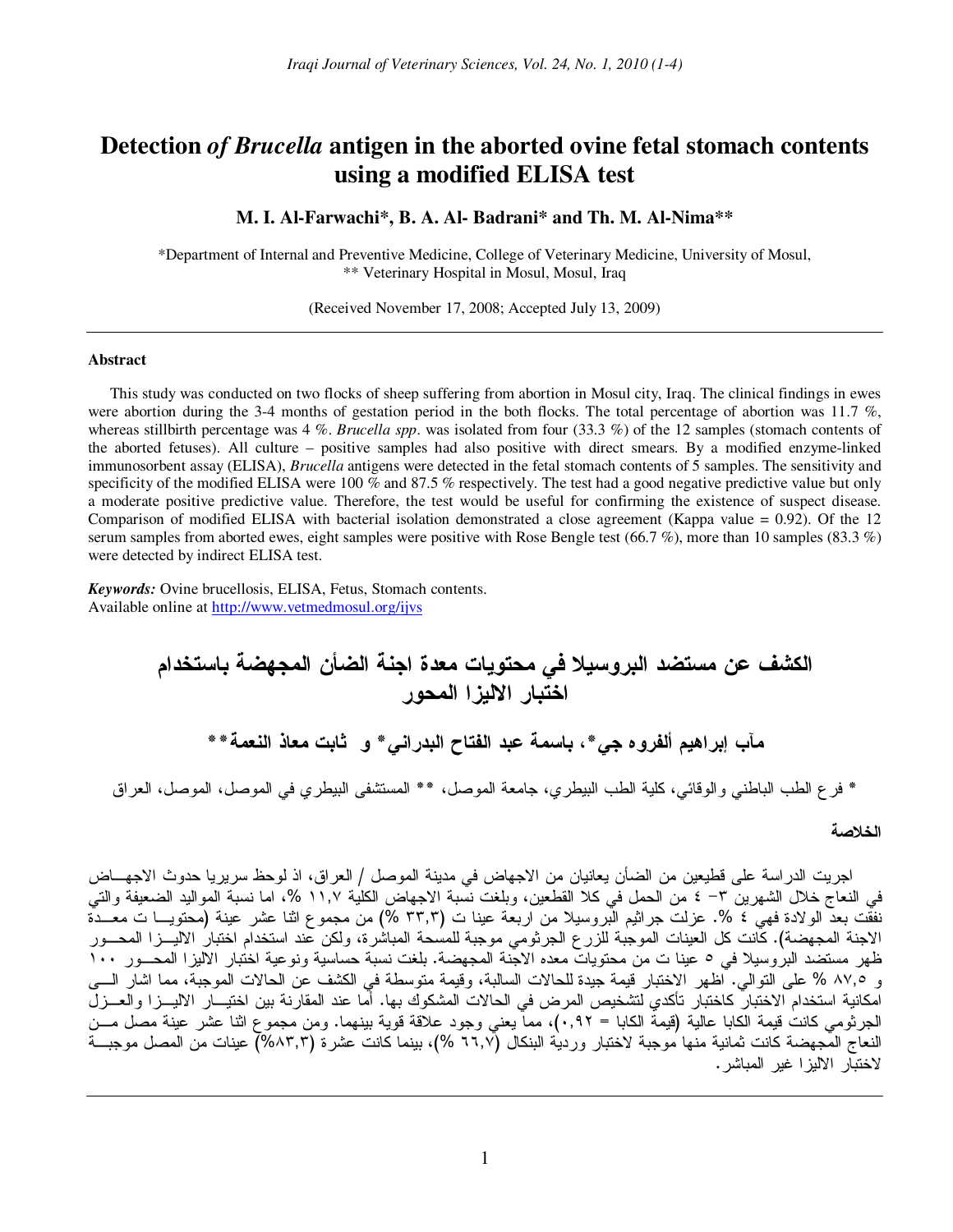# **Detection** *of Brucella* **antigen in the aborted ovine fetal stomach contents using a modified ELISA test**

# **M. I. Al-Farwachi\*, B. A. Al- Badrani\* and Th. M. Al-Nima\*\***

\*Department of Internal and Preventive Medicine, College of Veterinary Medicine, University of Mosul, \*\* Veterinary Hospital in Mosul, Mosul, Iraq

(Received November 17, 2008; Accepted July 13, 2009)

#### **Abstract**

This study was conducted on two flocks of sheep suffering from abortion in Mosul city, Iraq. The clinical findings in ewes were abortion during the 3-4 months of gestation period in the both flocks. The total percentage of abortion was 11.7 %, whereas stillbirth percentage was 4 %. *Brucella spp*. was isolated from four (33.3 %) of the 12 samples (stomach contents of the aborted fetuses). All culture – positive samples had also positive with direct smears. By a modified enzyme-linked immunosorbent assay (ELISA), *Brucella* antigens were detected in the fetal stomach contents of 5 samples. The sensitivity and specificity of the modified ELISA were 100 % and 87.5 % respectively. The test had a good negative predictive value but only a moderate positive predictive value. Therefore, the test would be useful for confirming the existence of suspect disease. Comparison of modified ELISA with bacterial isolation demonstrated a close agreement (Kappa value = 0.92). Of the 12 serum samples from aborted ewes, eight samples were positive with Rose Bengle test (66.7 %), more than 10 samples (83.3 %) were detected by indirect ELISA test.

*Keywords:* Ovine brucellosis, ELISA, Fetus, Stomach contents. Available online at http://www.vetmedmosul.org/ijvs

الكشف عن مستضد البروسيلا في محتويات معدة اجنة الضأن المجهضة باستخدام اختبار الاليزا المحور مأب إبراهيم ألفروه جي\*، باسمة عبد الفتاح البدراني\* و ثابت معاذ النعمة\*\* \* فرع الطب الباطني والوقائي، كلية الطب البيطري، جامعة الموصل، \*\* المستشفى البيطري في الموصل، الموصل، العراق

#### الخلاصة

اجريت الدراسة على قطيعين من الضأن يعانيان من الاجهاض في مدينة الموصل / العراق، اذ لوحظ سريريا حدوث الاجهـــاض في النعاج خلال الشهرين ٣– ٤ من الحمل في كلا القطعين، وبلغت نسبة الاجهاض الكلية ١١,٧ %، اما نسبة المواليد الضعيفة والتي نفقت بعد الولادة فهي ٤ %. عزلت جراثيم البروسيلا من اربعة عينا ت (٣٣٫٣ %) من مجموع اثنا عشر عينة (محتويـــا ت معـــدة<br>الاجنة المجهضة). كانت كل العينات الموجبة للزرع الجرثومي موجبة للمسحة المباشرة، ولكن عند استخدام اختبار ا ظهر مستضد البروسيلا في ٥ عينا ت من محتويات معده الاجنة المجهضة. بلغت نسبة حساسية ونوعية اختبار الاليزا المحـــور ١٠٠ و ٨٧,٥ % على النوالي. أظهر الاختبار قيمة جيدة للحالات السالبة، وقيمة متوسطة في الكشف عن الحالات الموجبة، مما اشار السي امكانية استخدام الاختبار كاختبار تأكدي لتشخيص المرض في الحالات المشكوك بها. أما عند المقارنة بين اختيـــار الاليــــزا والعــــزل الجرثومي كانت قيمة الكابا عالية (قيمة الكابا = ٠,٩٢)، مما يعني وجود علاقة قوية بينهما. ومن مجموع اثنا عشر عينة مصل مـــن النعاج المجهضة كانت ثمانية منها موجبة لاختبار وردية البنكال (٦٦٫٧ %)، بينما كانت عشرة (٨٣٫٣%) عينات من المصل موجبـــة لاختيار الإليز ا غير المياشر .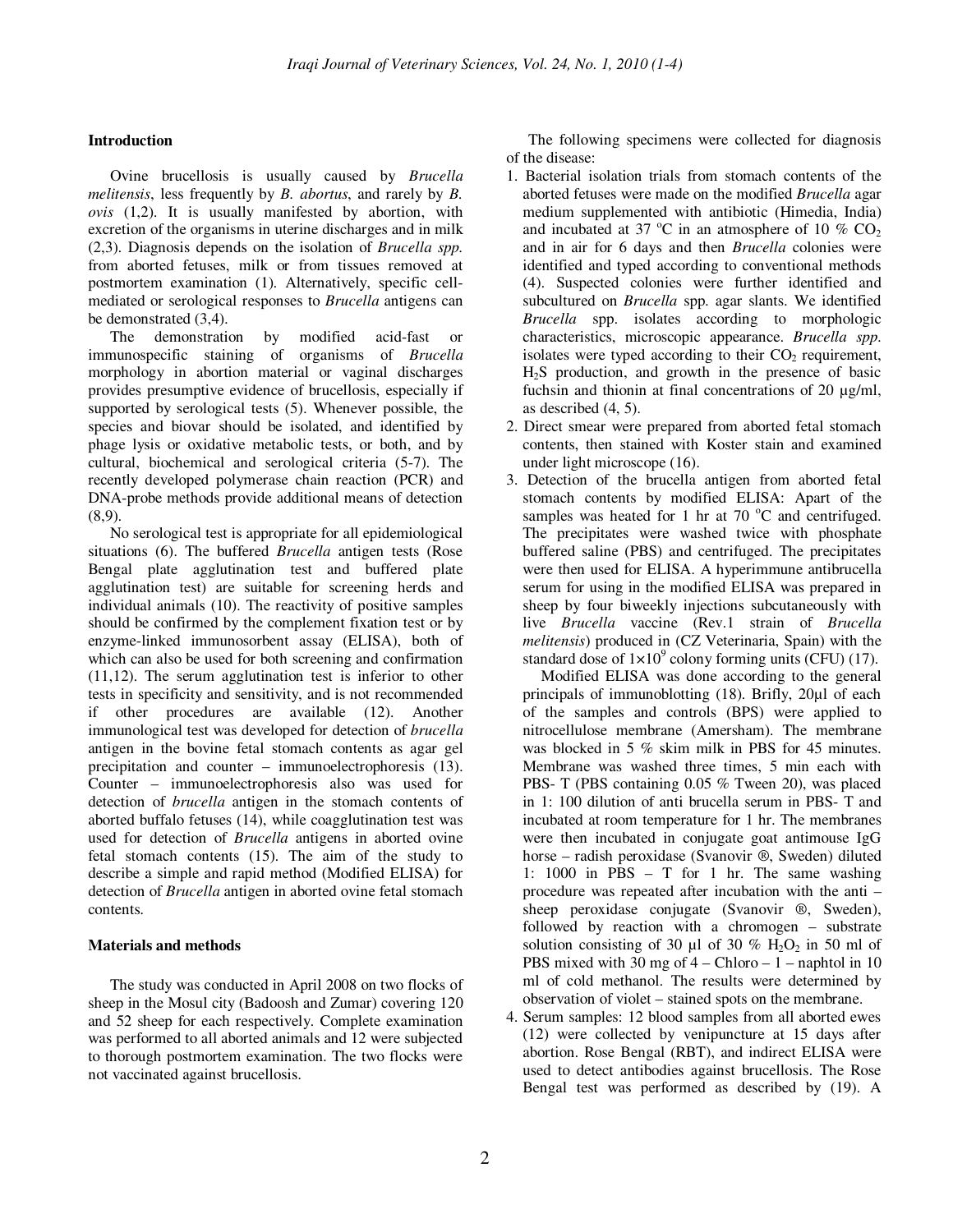### **Introduction**

Ovine brucellosis is usually caused by *Brucella melitensis*, less frequently by *B. abortus*, and rarely by *B. ovis* (1,2). It is usually manifested by abortion, with excretion of the organisms in uterine discharges and in milk (2,3). Diagnosis depends on the isolation of *Brucella spp.*  from aborted fetuses, milk or from tissues removed at postmortem examination (1). Alternatively, specific cellmediated or serological responses to *Brucella* antigens can be demonstrated (3,4).

The demonstration by modified acid-fast or immunospecific staining of organisms of *Brucella* morphology in abortion material or vaginal discharges provides presumptive evidence of brucellosis, especially if supported by serological tests (5). Whenever possible, the species and biovar should be isolated, and identified by phage lysis or oxidative metabolic tests, or both, and by cultural, biochemical and serological criteria (5-7). The recently developed polymerase chain reaction (PCR) and DNA-probe methods provide additional means of detection (8,9).

No serological test is appropriate for all epidemiological situations (6). The buffered *Brucella* antigen tests (Rose Bengal plate agglutination test and buffered plate agglutination test) are suitable for screening herds and individual animals (10). The reactivity of positive samples should be confirmed by the complement fixation test or by enzyme-linked immunosorbent assay (ELISA), both of which can also be used for both screening and confirmation (11,12). The serum agglutination test is inferior to other tests in specificity and sensitivity, and is not recommended if other procedures are available (12). Another immunological test was developed for detection of *brucella* antigen in the bovine fetal stomach contents as agar gel precipitation and counter – immunoelectrophoresis (13). Counter – immunoelectrophoresis also was used for detection of *brucella* antigen in the stomach contents of aborted buffalo fetuses (14), while coagglutination test was used for detection of *Brucella* antigens in aborted ovine fetal stomach contents (15). The aim of the study to describe a simple and rapid method (Modified ELISA) for detection of *Brucella* antigen in aborted ovine fetal stomach contents.

#### **Materials and methods**

The study was conducted in April 2008 on two flocks of sheep in the Mosul city (Badoosh and Zumar) covering 120 and 52 sheep for each respectively. Complete examination was performed to all aborted animals and 12 were subjected to thorough postmortem examination. The two flocks were not vaccinated against brucellosis.

The following specimens were collected for diagnosis of the disease:

- 1. Bacterial isolation trials from stomach contents of the aborted fetuses were made on the modified *Brucella* agar medium supplemented with antibiotic (Himedia, India) and incubated at 37  $^{\circ}$ C in an atmosphere of 10 % CO<sub>2</sub> and in air for 6 days and then *Brucella* colonies were identified and typed according to conventional methods (4). Suspected colonies were further identified and subcultured on *Brucella* spp. agar slants. We identified *Brucella* spp. isolates according to morphologic characteristics, microscopic appearance. *Brucella spp*. isolates were typed according to their  $CO<sub>2</sub>$  requirement,  $H<sub>2</sub>S$  production, and growth in the presence of basic fuchsin and thionin at final concentrations of 20  $\mu$ g/ml, as described (4, 5).
- 2. Direct smear were prepared from aborted fetal stomach contents, then stained with Koster stain and examined under light microscope (16).
- 3. Detection of the brucella antigen from aborted fetal stomach contents by modified ELISA: Apart of the samples was heated for 1 hr at 70  $^{\circ}$ C and centrifuged. The precipitates were washed twice with phosphate buffered saline (PBS) and centrifuged. The precipitates were then used for ELISA. A hyperimmune antibrucella serum for using in the modified ELISA was prepared in sheep by four biweekly injections subcutaneously with live *Brucella* vaccine (Rev.1 strain of *Brucella melitensis*) produced in (CZ Veterinaria, Spain) with the standard dose of  $1 \times 10^9$  colony forming units (CFU) (17).

 Modified ELISA was done according to the general principals of immunoblotting (18). Brifly, 20µl of each of the samples and controls (BPS) were applied to nitrocellulose membrane (Amersham). The membrane was blocked in 5 % skim milk in PBS for 45 minutes. Membrane was washed three times, 5 min each with PBS- T (PBS containing 0.05 % Tween 20), was placed in 1: 100 dilution of anti brucella serum in PBS- T and incubated at room temperature for 1 hr. The membranes were then incubated in conjugate goat antimouse IgG horse – radish peroxidase (Svanovir ®, Sweden) diluted 1: 1000 in PBS – T for 1 hr. The same washing procedure was repeated after incubation with the anti – sheep peroxidase conjugate (Svanovir ®, Sweden), followed by reaction with a chromogen – substrate solution consisting of 30  $\mu$ l of 30 % H<sub>2</sub>O<sub>2</sub> in 50 ml of PBS mixed with 30 mg of  $4 -$ Chloro  $-1 -$  naphtol in 10 ml of cold methanol. The results were determined by observation of violet – stained spots on the membrane.

4. Serum samples: 12 blood samples from all aborted ewes (12) were collected by venipuncture at 15 days after abortion. Rose Bengal (RBT), and indirect ELISA were used to detect antibodies against brucellosis. The Rose Bengal test was performed as described by (19). A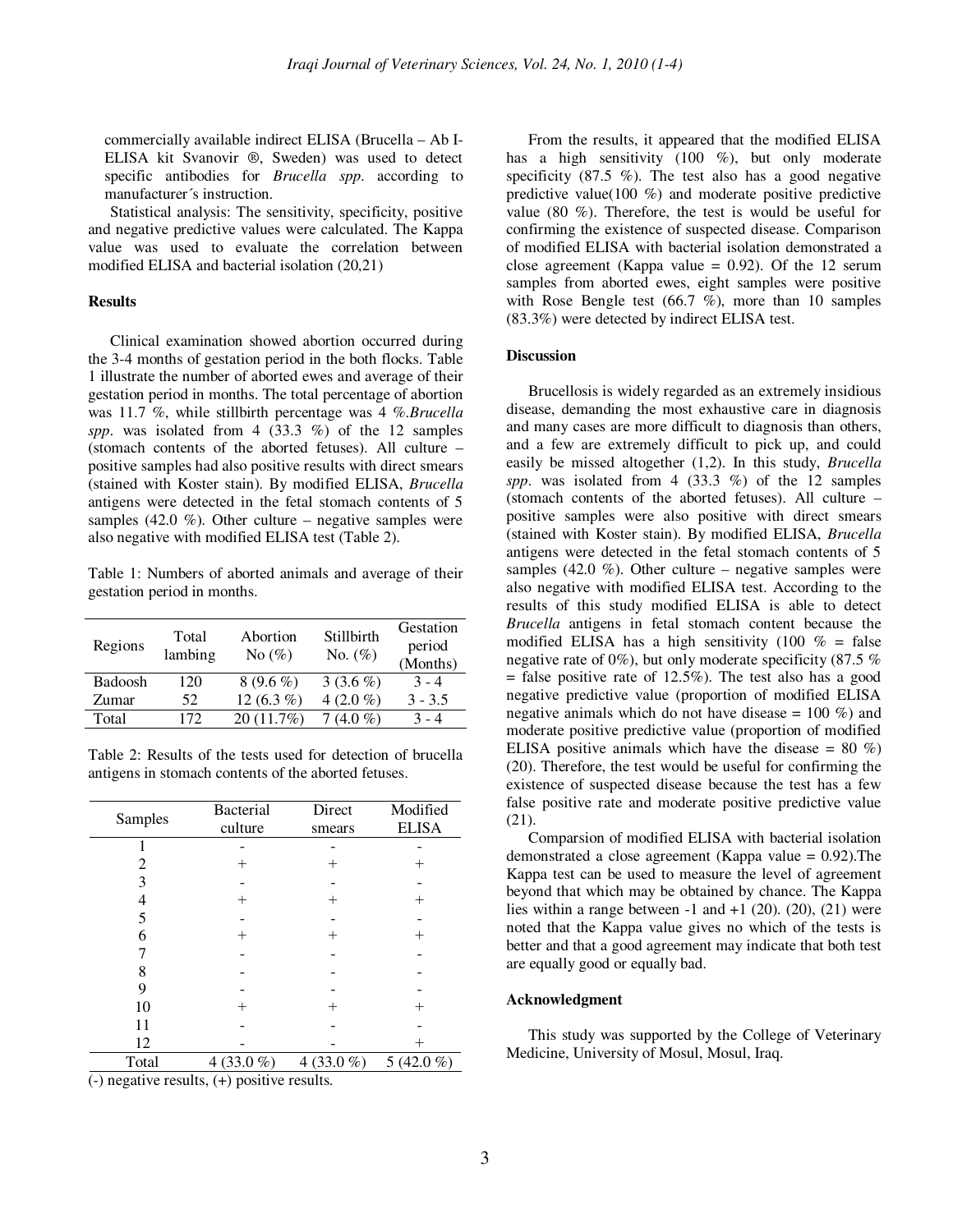commercially available indirect ELISA (Brucella – Ab I-ELISA kit Svanovir ®, Sweden) was used to detect specific antibodies for *Brucella spp*. according to manufacturer´s instruction.

Statistical analysis: The sensitivity, specificity, positive and negative predictive values were calculated. The Kappa value was used to evaluate the correlation between modified ELISA and bacterial isolation (20,21)

# **Results**

Clinical examination showed abortion occurred during the 3-4 months of gestation period in the both flocks. Table 1 illustrate the number of aborted ewes and average of their gestation period in months. The total percentage of abortion was 11.7 %, while stillbirth percentage was 4 %.*Brucella spp*. was isolated from 4  $(33.3 \%)$  of the 12 samples (stomach contents of the aborted fetuses). All culture – positive samples had also positive results with direct smears (stained with Koster stain). By modified ELISA, *Brucella*  antigens were detected in the fetal stomach contents of 5 samples (42.0  $%$ ). Other culture – negative samples were also negative with modified ELISA test (Table 2).

Table 1: Numbers of aborted animals and average of their gestation period in months.

| Regions | Total<br>lambing | Abortion<br>No $(\%)$ | Stillbirth<br>No. $(\%)$ | Gestation<br>period<br>(Months) |
|---------|------------------|-----------------------|--------------------------|---------------------------------|
| Badoosh | 120              | $8(9.6\%)$            | 3 $(3.6\%)$              | $3 - 4$                         |
| Zumar   | 52               | 12 $(6.3\%)$          | 4 $(2.0\%$               | $3 - 3.5$                       |
| Total   | 172              | $20(11.7\%)$          | $(4.0\%$                 | $3 - 4$                         |

Table 2: Results of the tests used for detection of brucella antigens in stomach contents of the aborted fetuses.

| Samples | <b>Bacterial</b><br>culture | Direct<br>smears | Modified<br><b>ELISA</b> |
|---------|-----------------------------|------------------|--------------------------|
| 1       |                             |                  |                          |
| 2       | $^{+}$                      | $^{+}$           |                          |
| 3       |                             |                  |                          |
| 4       | $^+$                        | $^{+}$           | $^+$                     |
| 5       |                             |                  |                          |
| 6       | $^{+}$                      | $^{+}$           |                          |
|         |                             |                  |                          |
| 8       |                             |                  |                          |
| 9       |                             |                  |                          |
| 10      | $\pm$                       | $^{+}$           | $^+$                     |
| 11      |                             |                  |                          |
| 12      |                             |                  | $^+$                     |
| Total   | $4(33.0\%)$                 | 4 (33.0 $%$ )    | 5 (42.0 $%$ )            |

(-) negative results, (+) positive results.

From the results, it appeared that the modified ELISA has a high sensitivity (100 %), but only moderate specificity  $(87.5 \%)$ . The test also has a good negative predictive value(100 %) and moderate positive predictive value (80 %). Therefore, the test is would be useful for confirming the existence of suspected disease. Comparison of modified ELISA with bacterial isolation demonstrated a close agreement (Kappa value =  $0.92$ ). Of the 12 serum samples from aborted ewes, eight samples were positive with Rose Bengle test  $(66.7 \%)$ , more than 10 samples (83.3%) were detected by indirect ELISA test.

#### **Discussion**

Brucellosis is widely regarded as an extremely insidious disease, demanding the most exhaustive care in diagnosis and many cases are more difficult to diagnosis than others, and a few are extremely difficult to pick up, and could easily be missed altogether (1,2). In this study, *Brucella spp*. was isolated from 4 (33.3 %) of the 12 samples (stomach contents of the aborted fetuses). All culture – positive samples were also positive with direct smears (stained with Koster stain). By modified ELISA, *Brucella* antigens were detected in the fetal stomach contents of 5 samples (42.0  $\%$ ). Other culture – negative samples were also negative with modified ELISA test. According to the results of this study modified ELISA is able to detect *Brucella* antigens in fetal stomach content because the modified ELISA has a high sensitivity (100  $%$  = false negative rate of 0%), but only moderate specificity (87.5 %  $=$  false positive rate of 12.5%). The test also has a good negative predictive value (proportion of modified ELISA negative animals which do not have disease  $= 100 \%$  and moderate positive predictive value (proportion of modified ELISA positive animals which have the disease  $= 80\%$ ) (20). Therefore, the test would be useful for confirming the existence of suspected disease because the test has a few false positive rate and moderate positive predictive value (21).

Comparsion of modified ELISA with bacterial isolation demonstrated a close agreement (Kappa value = 0.92).The Kappa test can be used to measure the level of agreement beyond that which may be obtained by chance. The Kappa lies within a range between  $-1$  and  $+1$  (20), (20), (21) were noted that the Kappa value gives no which of the tests is better and that a good agreement may indicate that both test are equally good or equally bad.

# **Acknowledgment**

This study was supported by the College of Veterinary Medicine, University of Mosul, Mosul, Iraq.